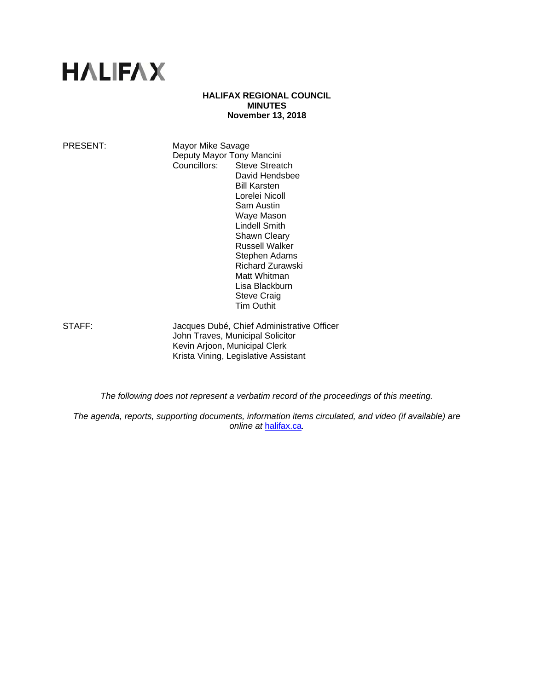# **HALIFAX**

# **HALIFAX REGIONAL COUNCIL MINUTES November 13, 2018**

PRESENT: Mayor Mike Savage Deputy Mayor Tony Mancini<br>Councillors: Steve Streat Steve Streatch David Hendsbee Bill Karsten Lorelei Nicoll Sam Austin Waye Mason Lindell Smith Shawn Cleary Russell Walker Stephen Adams Richard Zurawski Matt Whitman Lisa Blackburn Steve Craig Tim Outhit

STAFF: Jacques Dubé, Chief Administrative Officer John Traves, Municipal Solicitor Kevin Arjoon, Municipal Clerk Krista Vining, Legislative Assistant

*The following does not represent a verbatim record of the proceedings of this meeting.* 

*The agenda, reports, supporting documents, information items circulated, and video (if available) are online at* halifax.ca*.*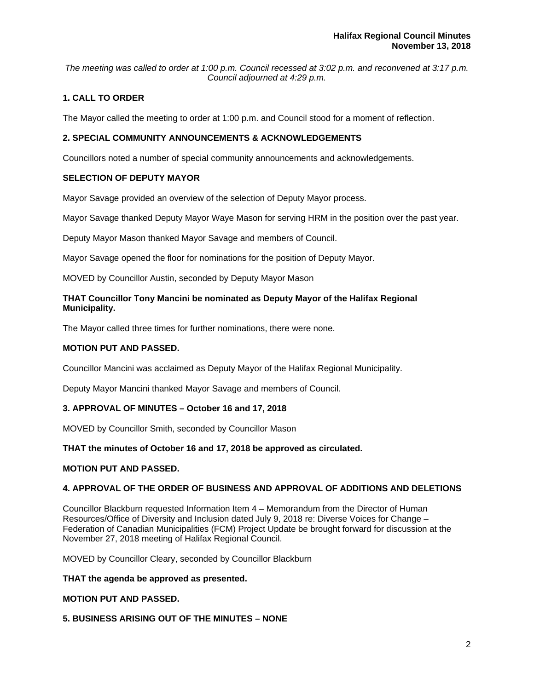*The meeting was called to order at 1:00 p.m. Council recessed at 3:02 p.m. and reconvened at 3:17 p.m. Council adjourned at 4:29 p.m.*

# **1. CALL TO ORDER**

The Mayor called the meeting to order at 1:00 p.m. and Council stood for a moment of reflection.

# **2. SPECIAL COMMUNITY ANNOUNCEMENTS & ACKNOWLEDGEMENTS**

Councillors noted a number of special community announcements and acknowledgements.

# **SELECTION OF DEPUTY MAYOR**

Mayor Savage provided an overview of the selection of Deputy Mayor process.

Mayor Savage thanked Deputy Mayor Waye Mason for serving HRM in the position over the past year.

Deputy Mayor Mason thanked Mayor Savage and members of Council.

Mayor Savage opened the floor for nominations for the position of Deputy Mayor.

MOVED by Councillor Austin, seconded by Deputy Mayor Mason

# **THAT Councillor Tony Mancini be nominated as Deputy Mayor of the Halifax Regional Municipality.**

The Mayor called three times for further nominations, there were none.

#### **MOTION PUT AND PASSED.**

Councillor Mancini was acclaimed as Deputy Mayor of the Halifax Regional Municipality.

Deputy Mayor Mancini thanked Mayor Savage and members of Council.

#### **3. APPROVAL OF MINUTES – October 16 and 17, 2018**

MOVED by Councillor Smith, seconded by Councillor Mason

#### **THAT the minutes of October 16 and 17, 2018 be approved as circulated.**

#### **MOTION PUT AND PASSED.**

# **4. APPROVAL OF THE ORDER OF BUSINESS AND APPROVAL OF ADDITIONS AND DELETIONS**

Councillor Blackburn requested Information Item 4 – Memorandum from the Director of Human Resources/Office of Diversity and Inclusion dated July 9, 2018 re: Diverse Voices for Change – Federation of Canadian Municipalities (FCM) Project Update be brought forward for discussion at the November 27, 2018 meeting of Halifax Regional Council.

MOVED by Councillor Cleary, seconded by Councillor Blackburn

**THAT the agenda be approved as presented.** 

# **MOTION PUT AND PASSED.**

**5. BUSINESS ARISING OUT OF THE MINUTES – NONE**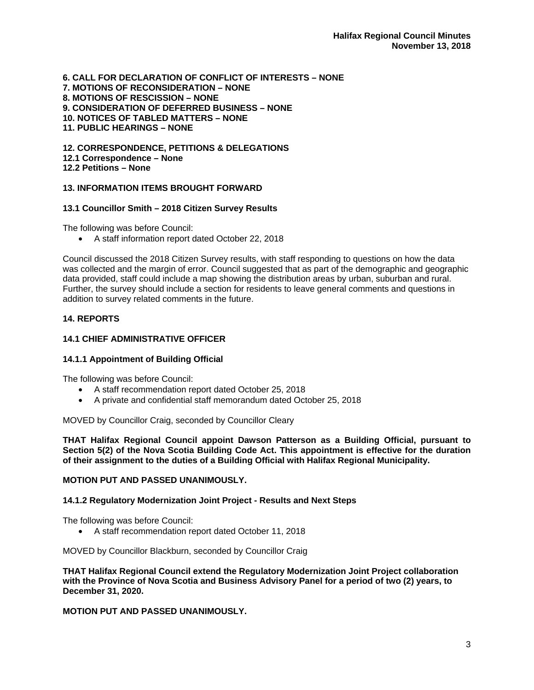**6. CALL FOR DECLARATION OF CONFLICT OF INTERESTS – NONE 7. MOTIONS OF RECONSIDERATION – NONE 8. MOTIONS OF RESCISSION – NONE 9. CONSIDERATION OF DEFERRED BUSINESS – NONE 10. NOTICES OF TABLED MATTERS – NONE 11. PUBLIC HEARINGS – NONE** 

**12. CORRESPONDENCE, PETITIONS & DELEGATIONS 12.1 Correspondence – None 12.2 Petitions – None** 

# **13. INFORMATION ITEMS BROUGHT FORWARD**

#### **13.1 Councillor Smith – 2018 Citizen Survey Results**

The following was before Council:

• A staff information report dated October 22, 2018

Council discussed the 2018 Citizen Survey results, with staff responding to questions on how the data was collected and the margin of error. Council suggested that as part of the demographic and geographic data provided, staff could include a map showing the distribution areas by urban, suburban and rural. Further, the survey should include a section for residents to leave general comments and questions in addition to survey related comments in the future.

# **14. REPORTS**

# **14.1 CHIEF ADMINISTRATIVE OFFICER**

#### **14.1.1 Appointment of Building Official**

The following was before Council:

- A staff recommendation report dated October 25, 2018
- A private and confidential staff memorandum dated October 25, 2018

MOVED by Councillor Craig, seconded by Councillor Cleary

**THAT Halifax Regional Council appoint Dawson Patterson as a Building Official, pursuant to Section 5(2) of the Nova Scotia Building Code Act. This appointment is effective for the duration of their assignment to the duties of a Building Official with Halifax Regional Municipality.** 

# **MOTION PUT AND PASSED UNANIMOUSLY.**

#### **14.1.2 Regulatory Modernization Joint Project - Results and Next Steps**

The following was before Council:

• A staff recommendation report dated October 11, 2018

MOVED by Councillor Blackburn, seconded by Councillor Craig

**THAT Halifax Regional Council extend the Regulatory Modernization Joint Project collaboration with the Province of Nova Scotia and Business Advisory Panel for a period of two (2) years, to December 31, 2020.** 

# **MOTION PUT AND PASSED UNANIMOUSLY.**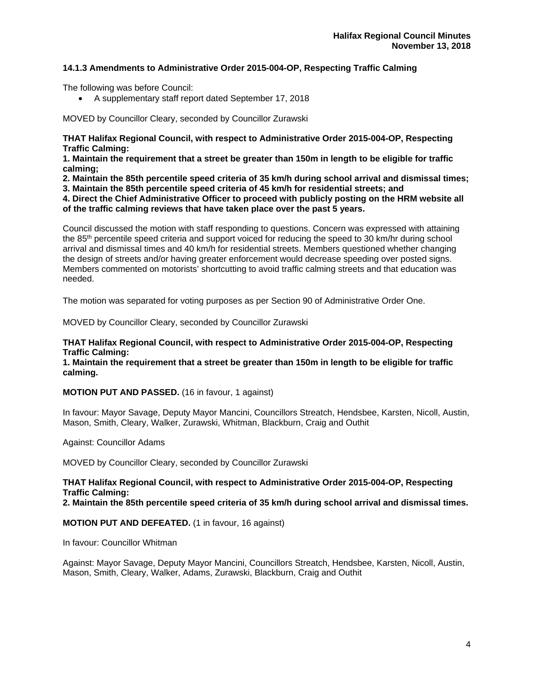## **14.1.3 Amendments to Administrative Order 2015-004-OP, Respecting Traffic Calming**

The following was before Council:

• A supplementary staff report dated September 17, 2018

MOVED by Councillor Cleary, seconded by Councillor Zurawski

**THAT Halifax Regional Council, with respect to Administrative Order 2015-004-OP, Respecting Traffic Calming:** 

**1. Maintain the requirement that a street be greater than 150m in length to be eligible for traffic calming;** 

**2. Maintain the 85th percentile speed criteria of 35 km/h during school arrival and dismissal times;** 

**3. Maintain the 85th percentile speed criteria of 45 km/h for residential streets; and** 

**4. Direct the Chief Administrative Officer to proceed with publicly posting on the HRM website all of the traffic calming reviews that have taken place over the past 5 years.** 

Council discussed the motion with staff responding to questions. Concern was expressed with attaining the 85th percentile speed criteria and support voiced for reducing the speed to 30 km/hr during school arrival and dismissal times and 40 km/h for residential streets. Members questioned whether changing the design of streets and/or having greater enforcement would decrease speeding over posted signs. Members commented on motorists' shortcutting to avoid traffic calming streets and that education was needed.

The motion was separated for voting purposes as per Section 90 of Administrative Order One.

MOVED by Councillor Cleary, seconded by Councillor Zurawski

**THAT Halifax Regional Council, with respect to Administrative Order 2015-004-OP, Respecting Traffic Calming:** 

**1. Maintain the requirement that a street be greater than 150m in length to be eligible for traffic calming.** 

**MOTION PUT AND PASSED.** (16 in favour, 1 against)

In favour: Mayor Savage, Deputy Mayor Mancini, Councillors Streatch, Hendsbee, Karsten, Nicoll, Austin, Mason, Smith, Cleary, Walker, Zurawski, Whitman, Blackburn, Craig and Outhit

Against: Councillor Adams

MOVED by Councillor Cleary, seconded by Councillor Zurawski

**THAT Halifax Regional Council, with respect to Administrative Order 2015-004-OP, Respecting Traffic Calming:** 

**2. Maintain the 85th percentile speed criteria of 35 km/h during school arrival and dismissal times.** 

**MOTION PUT AND DEFEATED.** (1 in favour, 16 against)

In favour: Councillor Whitman

Against: Mayor Savage, Deputy Mayor Mancini, Councillors Streatch, Hendsbee, Karsten, Nicoll, Austin, Mason, Smith, Cleary, Walker, Adams, Zurawski, Blackburn, Craig and Outhit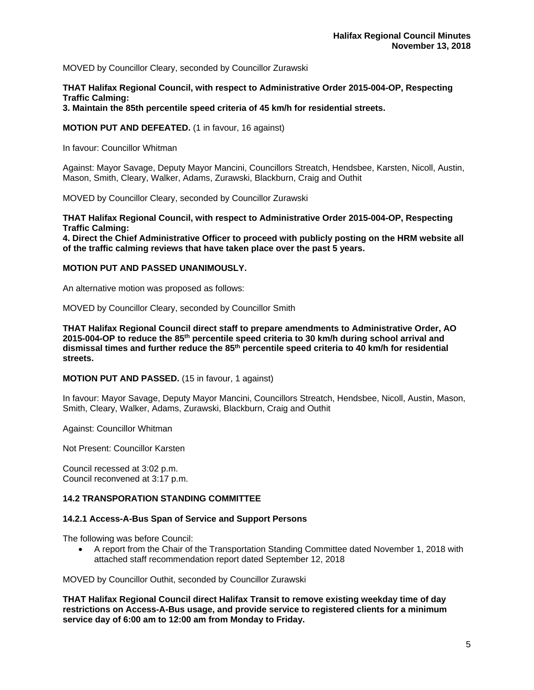MOVED by Councillor Cleary, seconded by Councillor Zurawski

# **THAT Halifax Regional Council, with respect to Administrative Order 2015-004-OP, Respecting Traffic Calming:**

**3. Maintain the 85th percentile speed criteria of 45 km/h for residential streets.** 

#### **MOTION PUT AND DEFEATED.** (1 in favour, 16 against)

In favour: Councillor Whitman

Against: Mayor Savage, Deputy Mayor Mancini, Councillors Streatch, Hendsbee, Karsten, Nicoll, Austin, Mason, Smith, Cleary, Walker, Adams, Zurawski, Blackburn, Craig and Outhit

MOVED by Councillor Cleary, seconded by Councillor Zurawski

**THAT Halifax Regional Council, with respect to Administrative Order 2015-004-OP, Respecting Traffic Calming:** 

**4. Direct the Chief Administrative Officer to proceed with publicly posting on the HRM website all of the traffic calming reviews that have taken place over the past 5 years.** 

#### **MOTION PUT AND PASSED UNANIMOUSLY.**

An alternative motion was proposed as follows:

MOVED by Councillor Cleary, seconded by Councillor Smith

**THAT Halifax Regional Council direct staff to prepare amendments to Administrative Order, AO 2015-004-OP to reduce the 85th percentile speed criteria to 30 km/h during school arrival and dismissal times and further reduce the 85th percentile speed criteria to 40 km/h for residential streets.** 

# **MOTION PUT AND PASSED.** (15 in favour, 1 against)

In favour: Mayor Savage, Deputy Mayor Mancini, Councillors Streatch, Hendsbee, Nicoll, Austin, Mason, Smith, Cleary, Walker, Adams, Zurawski, Blackburn, Craig and Outhit

Against: Councillor Whitman

Not Present: Councillor Karsten

Council recessed at 3:02 p.m. Council reconvened at 3:17 p.m.

# **14.2 TRANSPORATION STANDING COMMITTEE**

#### **14.2.1 Access-A-Bus Span of Service and Support Persons**

The following was before Council:

• A report from the Chair of the Transportation Standing Committee dated November 1, 2018 with attached staff recommendation report dated September 12, 2018

MOVED by Councillor Outhit, seconded by Councillor Zurawski

**THAT Halifax Regional Council direct Halifax Transit to remove existing weekday time of day restrictions on Access-A-Bus usage, and provide service to registered clients for a minimum service day of 6:00 am to 12:00 am from Monday to Friday.**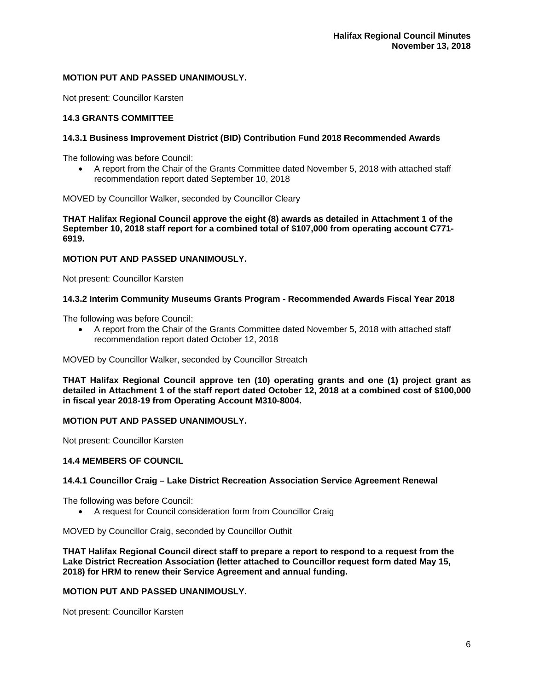# **MOTION PUT AND PASSED UNANIMOUSLY.**

Not present: Councillor Karsten

# **14.3 GRANTS COMMITTEE**

# **14.3.1 Business Improvement District (BID) Contribution Fund 2018 Recommended Awards**

The following was before Council:

• A report from the Chair of the Grants Committee dated November 5, 2018 with attached staff recommendation report dated September 10, 2018

MOVED by Councillor Walker, seconded by Councillor Cleary

**THAT Halifax Regional Council approve the eight (8) awards as detailed in Attachment 1 of the September 10, 2018 staff report for a combined total of \$107,000 from operating account C771- 6919.** 

# **MOTION PUT AND PASSED UNANIMOUSLY.**

Not present: Councillor Karsten

# **14.3.2 Interim Community Museums Grants Program - Recommended Awards Fiscal Year 2018**

The following was before Council:

• A report from the Chair of the Grants Committee dated November 5, 2018 with attached staff recommendation report dated October 12, 2018

MOVED by Councillor Walker, seconded by Councillor Streatch

**THAT Halifax Regional Council approve ten (10) operating grants and one (1) project grant as detailed in Attachment 1 of the staff report dated October 12, 2018 at a combined cost of \$100,000 in fiscal year 2018-19 from Operating Account M310-8004.** 

#### **MOTION PUT AND PASSED UNANIMOUSLY.**

Not present: Councillor Karsten

## **14.4 MEMBERS OF COUNCIL**

#### **14.4.1 Councillor Craig – Lake District Recreation Association Service Agreement Renewal**

The following was before Council:

• A request for Council consideration form from Councillor Craig

MOVED by Councillor Craig, seconded by Councillor Outhit

**THAT Halifax Regional Council direct staff to prepare a report to respond to a request from the Lake District Recreation Association (letter attached to Councillor request form dated May 15, 2018) for HRM to renew their Service Agreement and annual funding.** 

#### **MOTION PUT AND PASSED UNANIMOUSLY.**

Not present: Councillor Karsten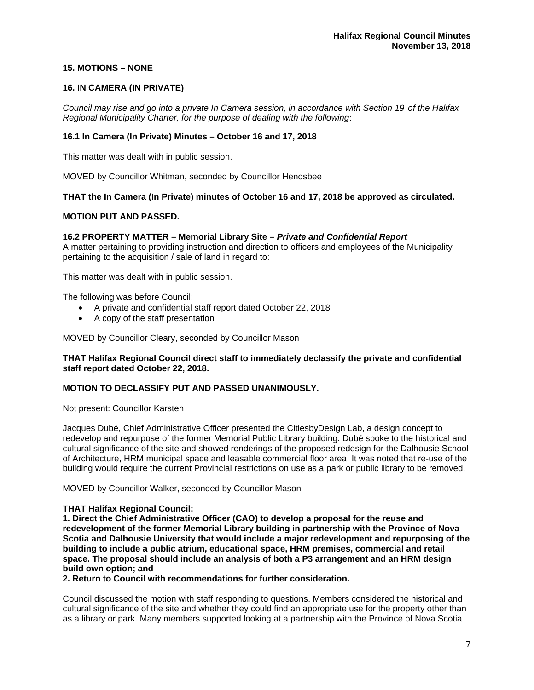# **15. MOTIONS – NONE**

# **16. IN CAMERA (IN PRIVATE)**

*Council may rise and go into a private In Camera session, in accordance with Section 19 of the Halifax Regional Municipality Charter, for the purpose of dealing with the following*:

# **16.1 In Camera (In Private) Minutes – October 16 and 17, 2018**

This matter was dealt with in public session.

MOVED by Councillor Whitman, seconded by Councillor Hendsbee

# **THAT the In Camera (In Private) minutes of October 16 and 17, 2018 be approved as circulated.**

#### **MOTION PUT AND PASSED.**

#### **16.2 PROPERTY MATTER – Memorial Library Site** *– Private and Confidential Report*

A matter pertaining to providing instruction and direction to officers and employees of the Municipality pertaining to the acquisition / sale of land in regard to:

This matter was dealt with in public session.

The following was before Council:

- A private and confidential staff report dated October 22, 2018
- A copy of the staff presentation

MOVED by Councillor Cleary, seconded by Councillor Mason

#### **THAT Halifax Regional Council direct staff to immediately declassify the private and confidential staff report dated October 22, 2018.**

# **MOTION TO DECLASSIFY PUT AND PASSED UNANIMOUSLY.**

Not present: Councillor Karsten

Jacques Dubé, Chief Administrative Officer presented the CitiesbyDesign Lab, a design concept to redevelop and repurpose of the former Memorial Public Library building. Dubé spoke to the historical and cultural significance of the site and showed renderings of the proposed redesign for the Dalhousie School of Architecture, HRM municipal space and leasable commercial floor area. It was noted that re-use of the building would require the current Provincial restrictions on use as a park or public library to be removed.

MOVED by Councillor Walker, seconded by Councillor Mason

#### **THAT Halifax Regional Council:**

**1. Direct the Chief Administrative Officer (CAO) to develop a proposal for the reuse and redevelopment of the former Memorial Library building in partnership with the Province of Nova Scotia and Dalhousie University that would include a major redevelopment and repurposing of the building to include a public atrium, educational space, HRM premises, commercial and retail space. The proposal should include an analysis of both a P3 arrangement and an HRM design build own option; and** 

**2. Return to Council with recommendations for further consideration.** 

Council discussed the motion with staff responding to questions. Members considered the historical and cultural significance of the site and whether they could find an appropriate use for the property other than as a library or park. Many members supported looking at a partnership with the Province of Nova Scotia